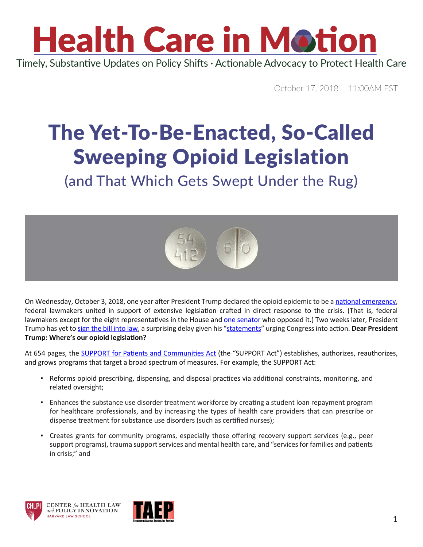

October 17, 2018 11:00AM EST

#### The Yet-To-Be-Enacted, So-Called Sweeping Opioid Legislation

(and That Which Gets Swept Under the Rug)



On Wednesday, October 3, 2018, one year after President Trump [declared the opioid epidemic to be a national emergency](https://www.whitehouse.gov/opioids/), federal lawmakers united in support of extensive legislation crafted in direct response to the crisis. (That is, federal lawmakers except for the eight representatives in the House and [one senator](https://www.lee.senate.gov/public/) who opposed it.) Two weeks later, President Trump has yet to [sign the bill into law,](https://www.youtube.com/watch?v=Otbml6WIQPo) a surprising delay given his ["statements](https://www.washingtonexaminer.com/policy/healthcare/trump-calls-for-ending-fentanyl-shipments-through-postal-system)" urging Congress into action. **Dear President Trump: Where's our opioid legislation?** 

At 654 pages, the [SUPPORT for Patients and Communities Act](https://urldefense.proofpoint.com/v2/url?u=https-3A__www.congress.gov_bill_115th-2Dcongress_house-2Dbill_6_text&d=DwMFaQ&c=WO-RGvefibhHBZq3fL85hQ&r=c9qve03IyHunGZ6NQ0e4Il4aQFNoehxz8FM84fOl1pc&m=KIgfBDTSp2zQV1qDHHZUabAiF6aI8Z63MJ7PmaBx94Q&s=W-ShT7fsK6kY_L62r7KZX7_uBr-j05qDWjvUfdya3qo&e=) (the "SUPPORT Act") establishes, authorizes, reauthorizes, and grows programs that target a broad spectrum of measures. For example, the SUPPORT Act:

- Reforms opioid prescribing, dispensing, and disposal practices via additional constraints, monitoring, and related oversight;
- **Enhances the substance use disorder treatment workforce by creating a student loan repayment program** for healthcare professionals, and by increasing the types of health care providers that can prescribe or dispense treatment for substance use disorders (such as certified nurses);
- Creates grants for community programs, especially those offering recovery support services (e.g., peer support programs), trauma support services and mental health care, and "services for families and patients in crisis;" and





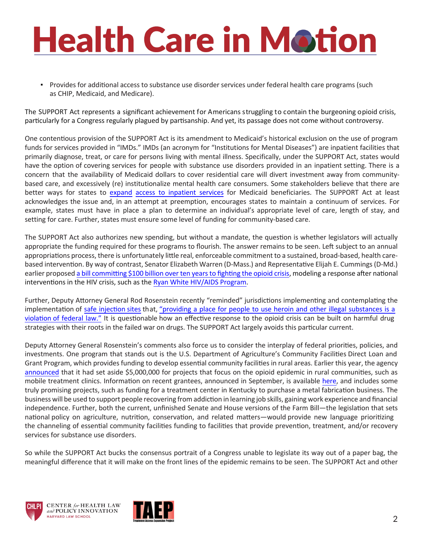### **Health Care in Motion**

▪ Provides for additional access to substance use disorder services under federal health care programs (such as CHIP, Medicaid, and Medicare).

The SUPPORT Act represents a significant achievement for Americans struggling to contain the burgeoning opioid crisis, particularly for a Congress regularly plagued by partisanship. And yet, its passage does not come without controversy.

One contentious provision of the SUPPORT Act is its amendment to Medicaid's historical exclusion on the use of program funds for services provided in "IMDs." IMDs (an acronym for "Institutions for Mental Diseases") are inpatient facilities that primarily diagnose, treat, or care for persons living with mental illness. Specifically, under the SUPPORT Act, states would have the option of covering services for people with substance use disorders provided in an inpatient setting. There is a concern that the availability of Medicaid dollars to cover residential care will divert investment away from communitybased care, and excessively (re) institutionalize mental health care consumers. Some stakeholders believe that there are [better ways for states to expand](http://www.healthlaw.org/publications/browse-all-publications/policy-implications-repealing-imd-exclusion#.W7e0u2hKjIU) [access to inpatient services for Medicaid beneficiaries.](http://www.healthlaw.org/publications/browse-all-publications/policy-implications-repealing-imd-exclusion#.W7e0u2hKjIU) The SUPPORT Act at least acknowledges the issue and, in an attempt at preemption, encourages states to maintain a continuum of services. For example, states must have in place a plan to determine an individual's appropriate level of care, length of stay, and setting for care. Further, states must ensure some level of funding for community-based care.

The SUPPORT Act also authorizes new spending, but without a mandate, the question is whether legislators will actually appropriate the funding required for these programs to flourish. The answer remains to be seen. Left subject to an annual appropriations process, there is unfortunately little real, enforceable commitment to a sustained, broad-based, health carebased intervention. By way of contrast, [Senator Elizabeth Warren \(D-Mass.\) and Representative Elijah E. Cummings \(D-Md.\)](https://www.warren.senate.gov/oversight/reports/warren-cummings-introduce-comprehensive-legislation-to-combat-opioid-epidemic)  [earlier proposed a bill committing \\$100 billion over ten years to fighting the opioid crisis,](https://www.warren.senate.gov/oversight/reports/warren-cummings-introduce-comprehensive-legislation-to-combat-opioid-epidemic) modeling a response after national interventions in the HIV crisis, such as the [Ryan White HIV/AIDS Program.](https://hab.hrsa.gov/about-ryan-white-hivaids-program)

Further, Deputy Attorney General Rod Rosenstein recently "reminded" jurisdictions implementing and contemplating the implementation of safe [injection](http://www.communityinsite.ca/science.html) sites that, "providing a place for people to use heroin and other illegal [substances](https://www.npr.org/sections/health-shots/2018/08/30/642735759/justice-department-promises-crackdown-on-supervised-injection-sites) is a [violation](https://www.npr.org/sections/health-shots/2018/08/30/642735759/justice-department-promises-crackdown-on-supervised-injection-sites) of federal law." It is questionable how an effective response to the opioid crisis can be built on harmful drug strategies with their roots in the failed war on drugs. The SUPPORT Act largely avoids this particular current.

Deputy Attorney General Rosenstein's comments also force us to consider the interplay of federal priorities, policies, and investments. One program that stands out is the U.S. Department of Agriculture's Community Facilities Direct Loan and Grant Program, which provides funding to develop essential community facilities in rural areas. Earlier this year, the agency [announced](https://urldefense.proofpoint.com/v2/url?u=https-3A__www.usda.gov_media_press-2Dreleases_2018_04_04_usda-2Dprioritizes-2Dinvestments-2Daddress-2Dopioid-2Dcrisis-2Drural-2Damerica&d=DwMFaQ&c=WO-RGvefibhHBZq3fL85hQ&r=c9qve03IyHunGZ6NQ0e4Il4aQFNoehxz8FM84fOl1pc&m=KIgfBDTSp2zQV1qDHHZUabAiF6aI8Z63MJ7PmaBx94Q&s=E-Cu0D6iNUSC6U0khMgQLVcmQ8TNNflFybTz9WptJNc&e=) that it had set aside \$5,000,000 for projects that focus on the opioid epidemic in rural communities, such as mobile treatment clinics. Information on recent grantees, announced in September, is available [here](https://urldefense.proofpoint.com/v2/url?u=https-3A__www.rd.usda.gov_files_USDARDOpioidCFProjects09-5F10-5F2018.pdf&d=DwMFaQ&c=WO-RGvefibhHBZq3fL85hQ&r=c9qve03IyHunGZ6NQ0e4Il4aQFNoehxz8FM84fOl1pc&m=KIgfBDTSp2zQV1qDHHZUabAiF6aI8Z63MJ7PmaBx94Q&s=nZ6CmJ1fzVMmQxI54Z5_Ro15S8ju3oxWCxSUQIoc5pA&e=), and includes some truly promising projects, such as funding for a treatment center in Kentucky to purchase a metal fabrication business. The business will be used to support people recovering from addiction in learning job skills, gaining work experience and financial independence. Further, both the current, unfinished Senate and House versions of the Farm Bill—the legislation that sets national policy on agriculture, nutrition, conservation, and related matters—would provide new language prioritizing the channeling of essential community facilities funding to facilities that provide prevention, treatment, and/or recovery services for substance use disorders.

So while the SUPPORT Act bucks the consensus portrait of a Congress unable to legislate its way out of a paper bag, the meaningful difference that it will make on the front lines of the epidemic remains to be seen. The SUPPORT Act and other